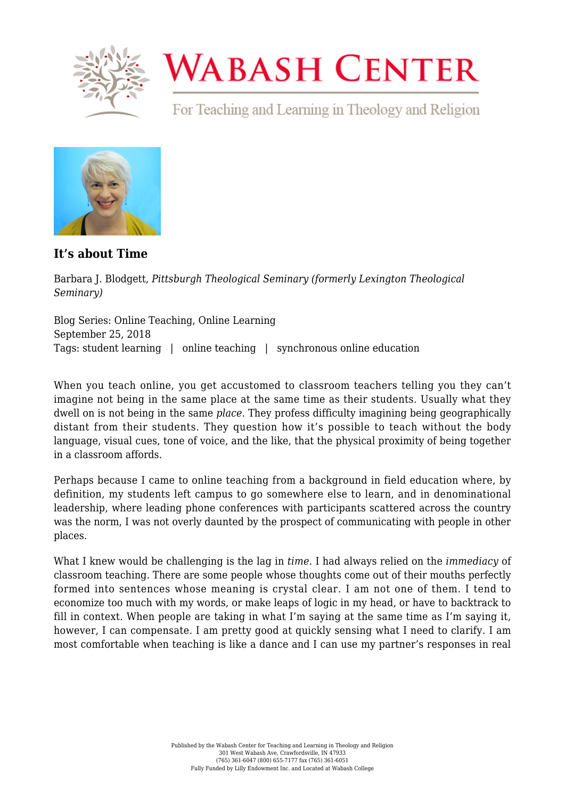

## **WABASH CENTER**

For Teaching and Learning in Theology and Religion



**[It's about Time](https://www.wabashcenter.wabash.edu/2018/09/its-about-time/)**

Barbara J. Blodgett, *Pittsburgh Theological Seminary (formerly Lexington Theological Seminary)*

Blog Series: Online Teaching, Online Learning September 25, 2018 Tags: student learning | online teaching | synchronous online education

When you teach online, you get accustomed to classroom teachers telling you they can't imagine not being in the same place at the same time as their students. Usually what they dwell on is not being in the same *place*. They profess difficulty imagining being geographically distant from their students. They question how it's possible to teach without the body language, visual cues, tone of voice, and the like, that the physical proximity of being together in a classroom affords.

Perhaps because I came to online teaching from a background in field education where, by definition, my students left campus to go somewhere else to learn, and in denominational leadership, where leading phone conferences with participants scattered across the country was the norm, I was not overly daunted by the prospect of communicating with people in other places.

What I knew would be challenging is the lag in *time*. I had always relied on the *immediacy* of classroom teaching. There are some people whose thoughts come out of their mouths perfectly formed into sentences whose meaning is crystal clear. I am not one of them. I tend to economize too much with my words, or make leaps of logic in my head, or have to backtrack to fill in context. When people are taking in what I'm saying at the same time as I'm saying it, however, I can compensate. I am pretty good at quickly sensing what I need to clarify. I am most comfortable when teaching is like a dance and I can use my partner's responses in real